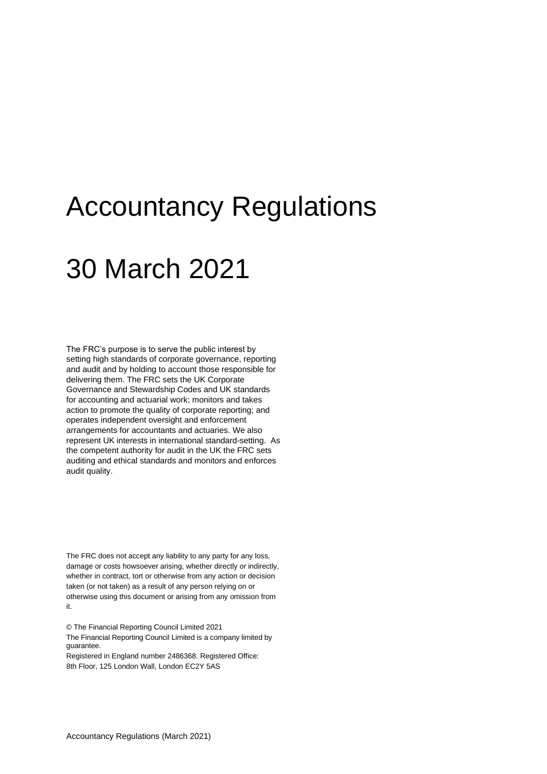# Accountancy Regulations

# 30 March 2021

The FRC's purpose is to serve the public interest by setting high standards of corporate governance, reporting and audit and by holding to account those responsible for delivering them. The FRC sets the UK Corporate Governance and Stewardship Codes and UK standards for accounting and actuarial work; monitors and takes action to promote the quality of corporate reporting; and operates independent oversight and enforcement arrangements for accountants and actuaries. We also represent UK interests in international standard-setting. As the competent authority for audit in the UK the FRC sets auditing and ethical standards and monitors and enforces audit quality.

The FRC does not accept any liability to any party for any loss, damage or costs howsoever arising, whether directly or indirectly, whether in contract, tort or otherwise from any action or decision taken (or not taken) as a result of any person relying on or otherwise using this document or arising from any omission from it.

© The Financial Reporting Council Limited 2021 The Financial Reporting Council Limited is a company limited by guarantee.

Registered in England number 2486368. Registered Office: 8th Floor, 125 London Wall, London EC2Y 5AS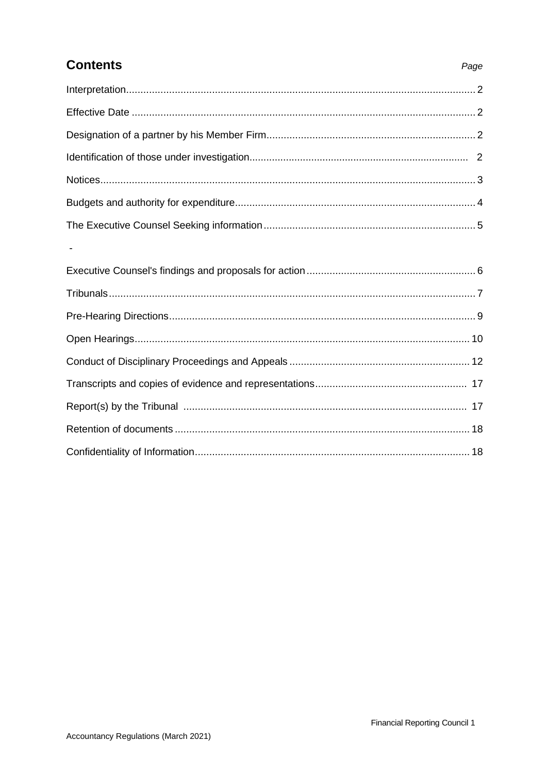# **Contents**

### Page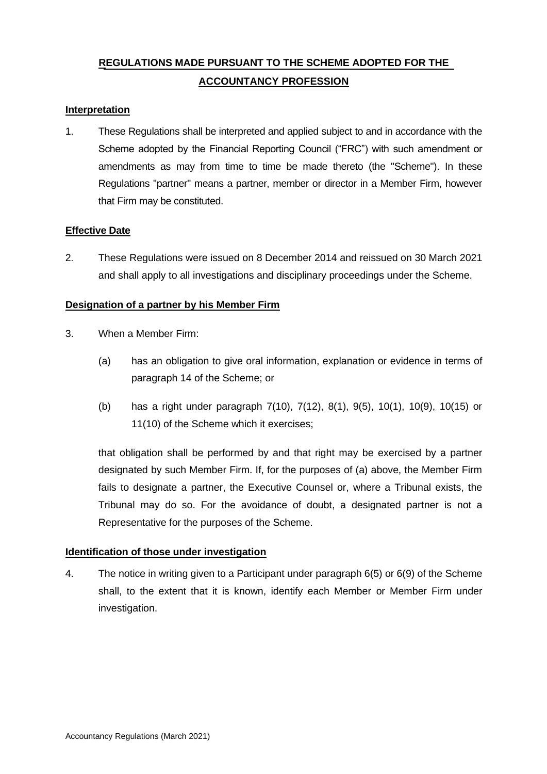# **REGULATIONS MADE PURSUANT TO THE SCHEME ADOPTED FOR THE ACCOUNTANCY PROFESSION**

#### **Interpretation**

1. These Regulations shall be interpreted and applied subject to and in accordance with the Scheme adopted by the Financial Reporting Council ("FRC") with such amendment or amendments as may from time to time be made thereto (the "Scheme"). In these Regulations "partner" means a partner, member or director in a Member Firm, however that Firm may be constituted.

#### **Effective Date**

2. These Regulations were issued on 8 December 2014 and reissued on 30 March 2021 and shall apply to all investigations and disciplinary proceedings under the Scheme.

#### **Designation of a partner by his Member Firm**

- 3. When a Member Firm:
	- (a) has an obligation to give oral information, explanation or evidence in terms of paragraph 14 of the Scheme; or
	- (b) has a right under paragraph 7(10), 7(12), 8(1), 9(5), 10(1), 10(9), 10(15) or 11(10) of the Scheme which it exercises;

that obligation shall be performed by and that right may be exercised by a partner designated by such Member Firm. If, for the purposes of (a) above, the Member Firm fails to designate a partner, the Executive Counsel or, where a Tribunal exists, the Tribunal may do so. For the avoidance of doubt, a designated partner is not a Representative for the purposes of the Scheme.

#### **Identification of those under investigation**

4. The notice in writing given to a Participant under paragraph 6(5) or 6(9) of the Scheme shall, to the extent that it is known, identify each Member or Member Firm under investigation.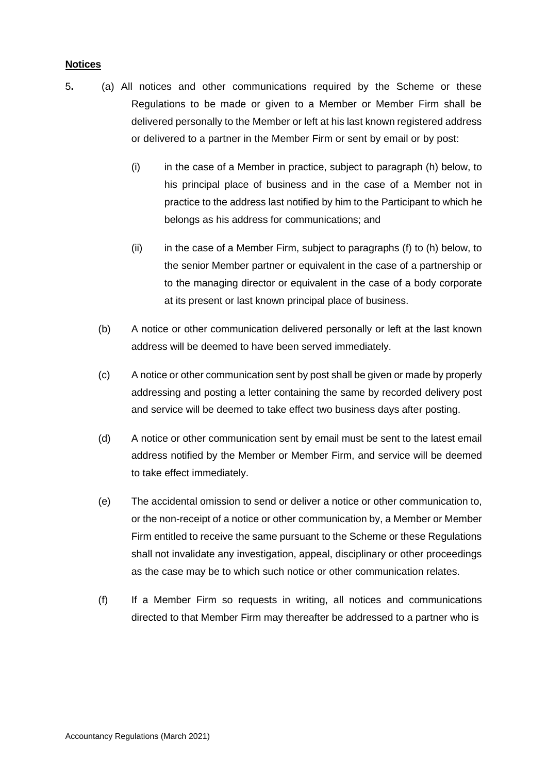### **Notices**

- 5**.** (a) All notices and other communications required by the Scheme or these Regulations to be made or given to a Member or Member Firm shall be delivered personally to the Member or left at his last known registered address or delivered to a partner in the Member Firm or sent by email or by post:
	- (i) in the case of a Member in practice, subject to paragraph (h) below, to his principal place of business and in the case of a Member not in practice to the address last notified by him to the Participant to which he belongs as his address for communications; and
	- (ii) in the case of a Member Firm, subject to paragraphs (f) to (h) below, to the senior Member partner or equivalent in the case of a partnership or to the managing director or equivalent in the case of a body corporate at its present or last known principal place of business.
	- (b) A notice or other communication delivered personally or left at the last known address will be deemed to have been served immediately.
	- (c) A notice or other communication sent by post shall be given or made by properly addressing and posting a letter containing the same by recorded delivery post and service will be deemed to take effect two business days after posting.
	- (d) A notice or other communication sent by email must be sent to the latest email address notified by the Member or Member Firm, and service will be deemed to take effect immediately.
	- (e) The accidental omission to send or deliver a notice or other communication to, or the non-receipt of a notice or other communication by, a Member or Member Firm entitled to receive the same pursuant to the Scheme or these Regulations shall not invalidate any investigation, appeal, disciplinary or other proceedings as the case may be to which such notice or other communication relates.
	- (f) If a Member Firm so requests in writing, all notices and communications directed to that Member Firm may thereafter be addressed to a partner who is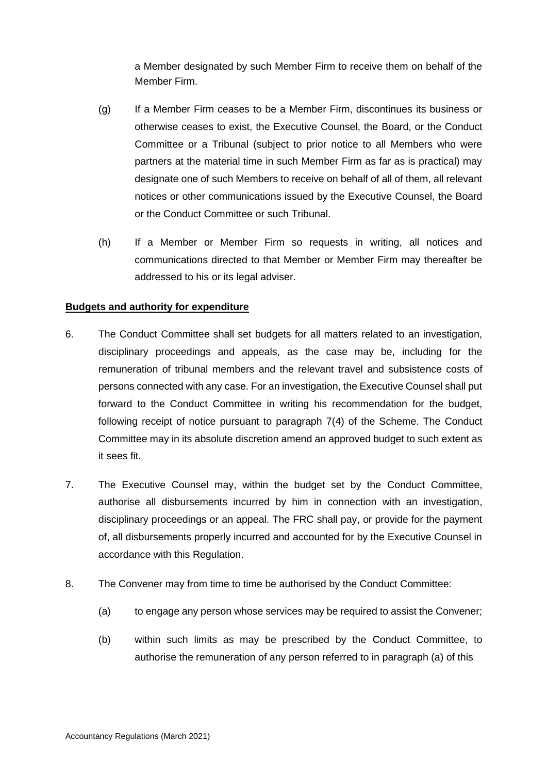a Member designated by such Member Firm to receive them on behalf of the Member Firm.

- (g) If a Member Firm ceases to be a Member Firm, discontinues its business or otherwise ceases to exist, the Executive Counsel, the Board, or the Conduct Committee or a Tribunal (subject to prior notice to all Members who were partners at the material time in such Member Firm as far as is practical) may designate one of such Members to receive on behalf of all of them, all relevant notices or other communications issued by the Executive Counsel, the Board or the Conduct Committee or such Tribunal.
- (h) If a Member or Member Firm so requests in writing, all notices and communications directed to that Member or Member Firm may thereafter be addressed to his or its legal adviser.

#### **Budgets and authority for expenditure**

- 6. The Conduct Committee shall set budgets for all matters related to an investigation, disciplinary proceedings and appeals, as the case may be, including for the remuneration of tribunal members and the relevant travel and subsistence costs of persons connected with any case. For an investigation, the Executive Counsel shall put forward to the Conduct Committee in writing his recommendation for the budget, following receipt of notice pursuant to paragraph 7(4) of the Scheme. The Conduct Committee may in its absolute discretion amend an approved budget to such extent as it sees fit.
- 7. The Executive Counsel may, within the budget set by the Conduct Committee, authorise all disbursements incurred by him in connection with an investigation, disciplinary proceedings or an appeal. The FRC shall pay, or provide for the payment of, all disbursements properly incurred and accounted for by the Executive Counsel in accordance with this Regulation.
- 8. The Convener may from time to time be authorised by the Conduct Committee:
	- (a) to engage any person whose services may be required to assist the Convener;
	- (b) within such limits as may be prescribed by the Conduct Committee, to authorise the remuneration of any person referred to in paragraph (a) of this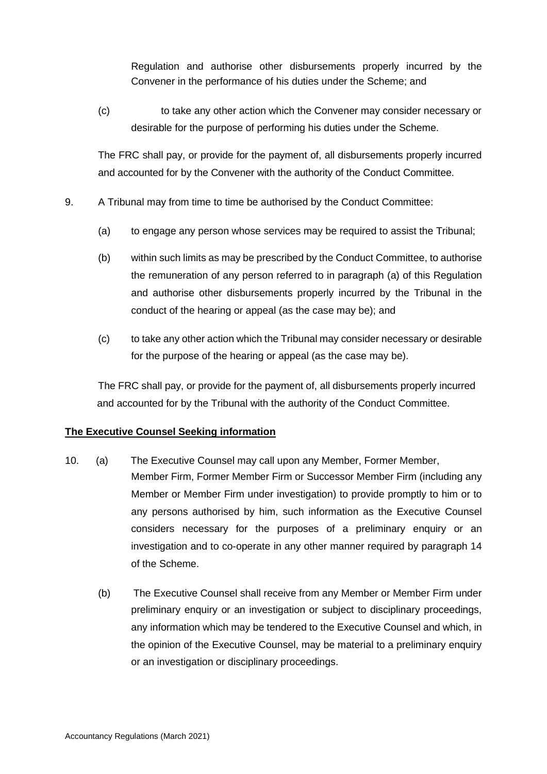Regulation and authorise other disbursements properly incurred by the Convener in the performance of his duties under the Scheme; and

(c) to take any other action which the Convener may consider necessary or desirable for the purpose of performing his duties under the Scheme.

The FRC shall pay, or provide for the payment of, all disbursements properly incurred and accounted for by the Convener with the authority of the Conduct Committee.

- 9. A Tribunal may from time to time be authorised by the Conduct Committee:
	- (a) to engage any person whose services may be required to assist the Tribunal;
	- (b) within such limits as may be prescribed by the Conduct Committee, to authorise the remuneration of any person referred to in paragraph (a) of this Regulation and authorise other disbursements properly incurred by the Tribunal in the conduct of the hearing or appeal (as the case may be); and
	- (c) to take any other action which the Tribunal may consider necessary or desirable for the purpose of the hearing or appeal (as the case may be).

The FRC shall pay, or provide for the payment of, all disbursements properly incurred and accounted for by the Tribunal with the authority of the Conduct Committee.

# **The Executive Counsel Seeking information**

- 10. (a) The Executive Counsel may call upon any Member, Former Member, Member Firm, Former Member Firm or Successor Member Firm (including any Member or Member Firm under investigation) to provide promptly to him or to any persons authorised by him, such information as the Executive Counsel considers necessary for the purposes of a preliminary enquiry or an investigation and to co-operate in any other manner required by paragraph 14 of the Scheme.
	- (b) The Executive Counsel shall receive from any Member or Member Firm under preliminary enquiry or an investigation or subject to disciplinary proceedings, any information which may be tendered to the Executive Counsel and which, in the opinion of the Executive Counsel, may be material to a preliminary enquiry or an investigation or disciplinary proceedings.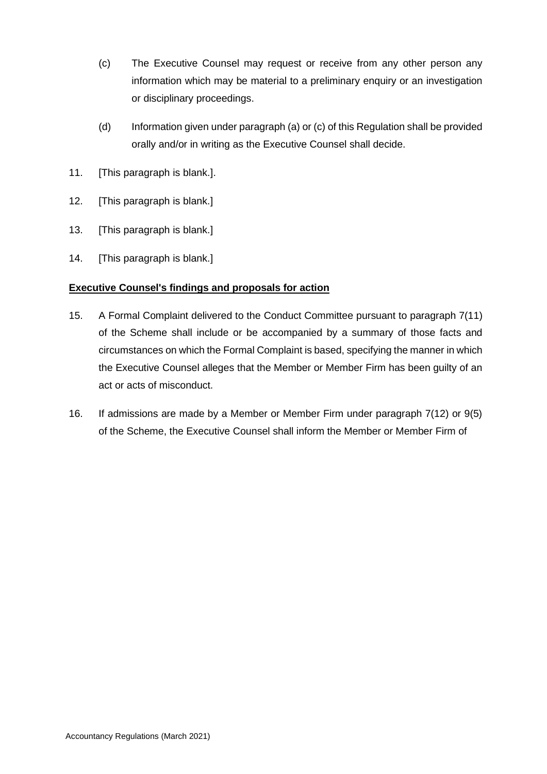- (c) The Executive Counsel may request or receive from any other person any information which may be material to a preliminary enquiry or an investigation or disciplinary proceedings.
- (d) Information given under paragraph (a) or (c) of this Regulation shall be provided orally and/or in writing as the Executive Counsel shall decide.
- 11. [This paragraph is blank.].
- 12. [This paragraph is blank.]
- 13. [This paragraph is blank.]
- 14. [This paragraph is blank.]

# **Executive Counsel's findings and proposals for action**

- 15. A Formal Complaint delivered to the Conduct Committee pursuant to paragraph 7(11) of the Scheme shall include or be accompanied by a summary of those facts and circumstances on which the Formal Complaint is based, specifying the manner in which the Executive Counsel alleges that the Member or Member Firm has been guilty of an act or acts of misconduct.
- 16. If admissions are made by a Member or Member Firm under paragraph 7(12) or 9(5) of the Scheme, the Executive Counsel shall inform the Member or Member Firm of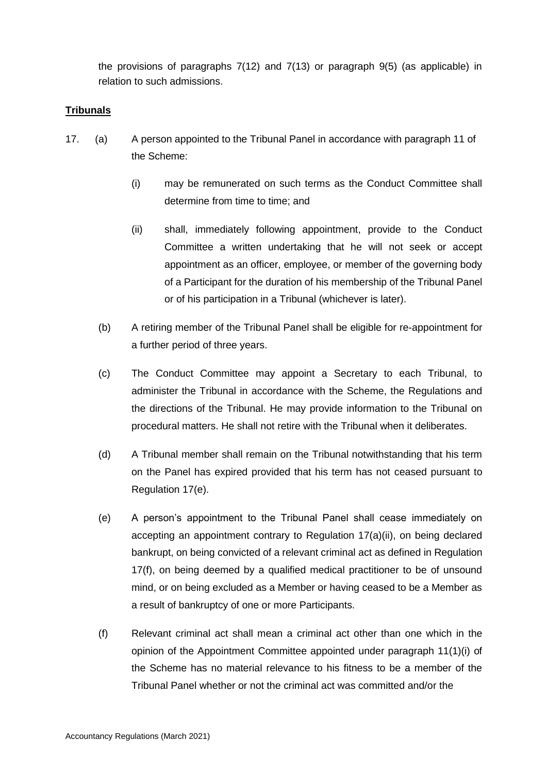the provisions of paragraphs 7(12) and 7(13) or paragraph 9(5) (as applicable) in relation to such admissions.

### **Tribunals**

- 17. (a) A person appointed to the Tribunal Panel in accordance with paragraph 11 of the Scheme:
	- (i) may be remunerated on such terms as the Conduct Committee shall determine from time to time; and
	- (ii) shall, immediately following appointment, provide to the Conduct Committee a written undertaking that he will not seek or accept appointment as an officer, employee, or member of the governing body of a Participant for the duration of his membership of the Tribunal Panel or of his participation in a Tribunal (whichever is later).
	- (b) A retiring member of the Tribunal Panel shall be eligible for re-appointment for a further period of three years.
	- (c) The Conduct Committee may appoint a Secretary to each Tribunal, to administer the Tribunal in accordance with the Scheme, the Regulations and the directions of the Tribunal. He may provide information to the Tribunal on procedural matters. He shall not retire with the Tribunal when it deliberates.
	- (d) A Tribunal member shall remain on the Tribunal notwithstanding that his term on the Panel has expired provided that his term has not ceased pursuant to Regulation 17(e).
	- (e) A person's appointment to the Tribunal Panel shall cease immediately on accepting an appointment contrary to Regulation 17(a)(ii), on being declared bankrupt, on being convicted of a relevant criminal act as defined in Regulation 17(f), on being deemed by a qualified medical practitioner to be of unsound mind, or on being excluded as a Member or having ceased to be a Member as a result of bankruptcy of one or more Participants.
	- (f) Relevant criminal act shall mean a criminal act other than one which in the opinion of the Appointment Committee appointed under paragraph 11(1)(i) of the Scheme has no material relevance to his fitness to be a member of the Tribunal Panel whether or not the criminal act was committed and/or the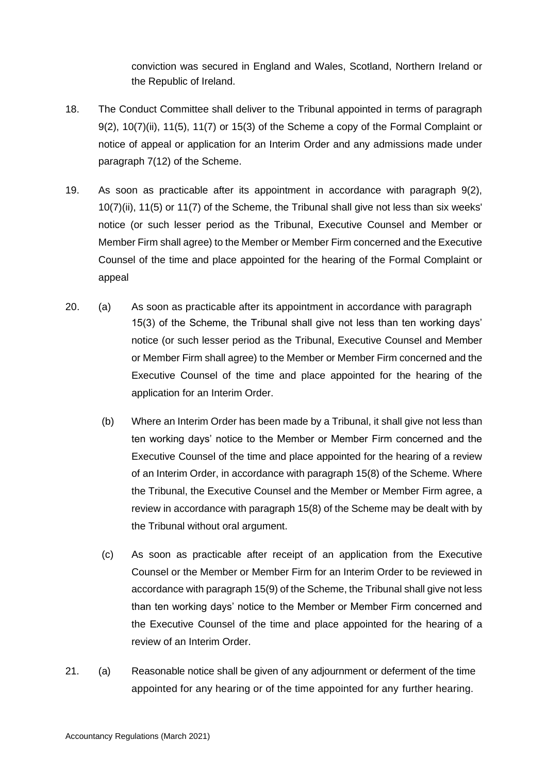conviction was secured in England and Wales, Scotland, Northern Ireland or the Republic of Ireland.

- 18. The Conduct Committee shall deliver to the Tribunal appointed in terms of paragraph 9(2), 10(7)(ii), 11(5), 11(7) or 15(3) of the Scheme a copy of the Formal Complaint or notice of appeal or application for an Interim Order and any admissions made under paragraph 7(12) of the Scheme.
- 19. As soon as practicable after its appointment in accordance with paragraph 9(2), 10(7)(ii), 11(5) or 11(7) of the Scheme, the Tribunal shall give not less than six weeks' notice (or such lesser period as the Tribunal, Executive Counsel and Member or Member Firm shall agree) to the Member or Member Firm concerned and the Executive Counsel of the time and place appointed for the hearing of the Formal Complaint or appeal
- 20. (a) As soon as practicable after its appointment in accordance with paragraph 15(3) of the Scheme, the Tribunal shall give not less than ten working days' notice (or such lesser period as the Tribunal, Executive Counsel and Member or Member Firm shall agree) to the Member or Member Firm concerned and the Executive Counsel of the time and place appointed for the hearing of the application for an Interim Order.
	- (b) Where an Interim Order has been made by a Tribunal, it shall give not less than ten working days' notice to the Member or Member Firm concerned and the Executive Counsel of the time and place appointed for the hearing of a review of an Interim Order, in accordance with paragraph 15(8) of the Scheme. Where the Tribunal, the Executive Counsel and the Member or Member Firm agree, a review in accordance with paragraph 15(8) of the Scheme may be dealt with by the Tribunal without oral argument.
	- (c) As soon as practicable after receipt of an application from the Executive Counsel or the Member or Member Firm for an Interim Order to be reviewed in accordance with paragraph 15(9) of the Scheme, the Tribunal shall give not less than ten working days' notice to the Member or Member Firm concerned and the Executive Counsel of the time and place appointed for the hearing of a review of an Interim Order.
- 21. (a) Reasonable notice shall be given of any adjournment or deferment of the time appointed for any hearing or of the time appointed for any further hearing.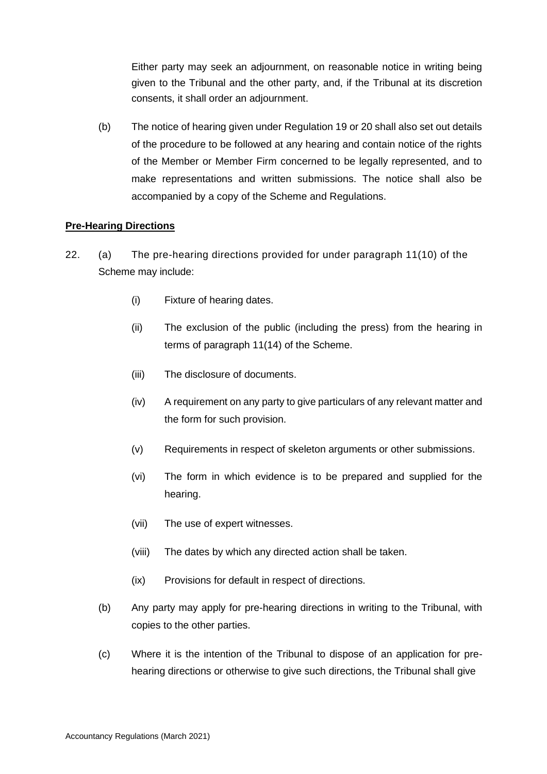Either party may seek an adjournment, on reasonable notice in writing being given to the Tribunal and the other party, and, if the Tribunal at its discretion consents, it shall order an adjournment.

(b) The notice of hearing given under Regulation 19 or 20 shall also set out details of the procedure to be followed at any hearing and contain notice of the rights of the Member or Member Firm concerned to be legally represented, and to make representations and written submissions. The notice shall also be accompanied by a copy of the Scheme and Regulations.

# **Pre-Hearing Directions**

- 22. (a) The pre-hearing directions provided for under paragraph 11(10) of the Scheme may include:
	- (i) Fixture of hearing dates.
	- (ii) The exclusion of the public (including the press) from the hearing in terms of paragraph 11(14) of the Scheme.
	- (iii) The disclosure of documents.
	- (iv) A requirement on any party to give particulars of any relevant matter and the form for such provision.
	- (v) Requirements in respect of skeleton arguments or other submissions.
	- (vi) The form in which evidence is to be prepared and supplied for the hearing.
	- (vii) The use of expert witnesses.
	- (viii) The dates by which any directed action shall be taken.
	- (ix) Provisions for default in respect of directions.
	- (b) Any party may apply for pre-hearing directions in writing to the Tribunal, with copies to the other parties.
	- (c) Where it is the intention of the Tribunal to dispose of an application for prehearing directions or otherwise to give such directions, the Tribunal shall give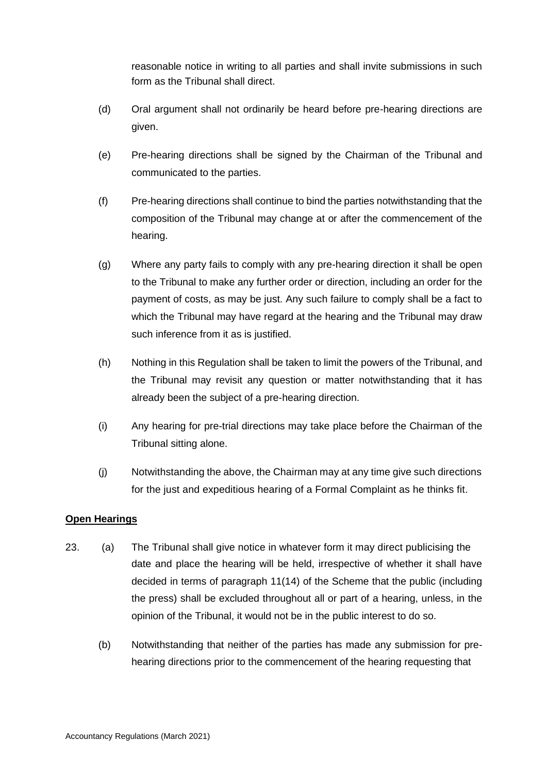reasonable notice in writing to all parties and shall invite submissions in such form as the Tribunal shall direct.

- (d) Oral argument shall not ordinarily be heard before pre-hearing directions are given.
- (e) Pre-hearing directions shall be signed by the Chairman of the Tribunal and communicated to the parties.
- (f) Pre-hearing directions shall continue to bind the parties notwithstanding that the composition of the Tribunal may change at or after the commencement of the hearing.
- (g) Where any party fails to comply with any pre-hearing direction it shall be open to the Tribunal to make any further order or direction, including an order for the payment of costs, as may be just. Any such failure to comply shall be a fact to which the Tribunal may have regard at the hearing and the Tribunal may draw such inference from it as is justified.
- (h) Nothing in this Regulation shall be taken to limit the powers of the Tribunal, and the Tribunal may revisit any question or matter notwithstanding that it has already been the subject of a pre-hearing direction.
- (i) Any hearing for pre-trial directions may take place before the Chairman of the Tribunal sitting alone.
- (j) Notwithstanding the above, the Chairman may at any time give such directions for the just and expeditious hearing of a Formal Complaint as he thinks fit.

# **Open Hearings**

- 23. (a) The Tribunal shall give notice in whatever form it may direct publicising the date and place the hearing will be held, irrespective of whether it shall have decided in terms of paragraph 11(14) of the Scheme that the public (including the press) shall be excluded throughout all or part of a hearing, unless, in the opinion of the Tribunal, it would not be in the public interest to do so.
	- (b) Notwithstanding that neither of the parties has made any submission for prehearing directions prior to the commencement of the hearing requesting that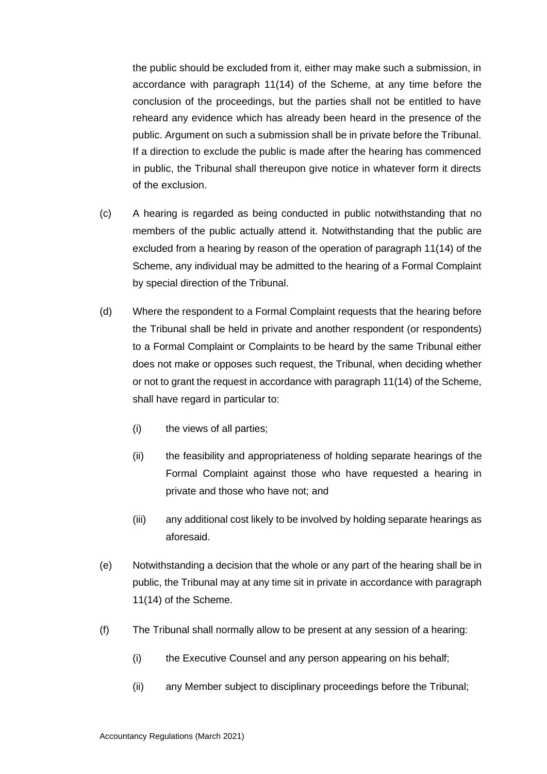the public should be excluded from it, either may make such a submission, in accordance with paragraph 11(14) of the Scheme, at any time before the conclusion of the proceedings, but the parties shall not be entitled to have reheard any evidence which has already been heard in the presence of the public. Argument on such a submission shall be in private before the Tribunal. If a direction to exclude the public is made after the hearing has commenced in public, the Tribunal shall thereupon give notice in whatever form it directs of the exclusion.

- (c) A hearing is regarded as being conducted in public notwithstanding that no members of the public actually attend it. Notwithstanding that the public are excluded from a hearing by reason of the operation of paragraph 11(14) of the Scheme, any individual may be admitted to the hearing of a Formal Complaint by special direction of the Tribunal.
- (d) Where the respondent to a Formal Complaint requests that the hearing before the Tribunal shall be held in private and another respondent (or respondents) to a Formal Complaint or Complaints to be heard by the same Tribunal either does not make or opposes such request, the Tribunal, when deciding whether or not to grant the request in accordance with paragraph 11(14) of the Scheme, shall have regard in particular to:
	- (i) the views of all parties;
	- (ii) the feasibility and appropriateness of holding separate hearings of the Formal Complaint against those who have requested a hearing in private and those who have not; and
	- (iii) any additional cost likely to be involved by holding separate hearings as aforesaid.
- (e) Notwithstanding a decision that the whole or any part of the hearing shall be in public, the Tribunal may at any time sit in private in accordance with paragraph 11(14) of the Scheme.
- (f) The Tribunal shall normally allow to be present at any session of a hearing:
	- (i) the Executive Counsel and any person appearing on his behalf;
	- (ii) any Member subject to disciplinary proceedings before the Tribunal;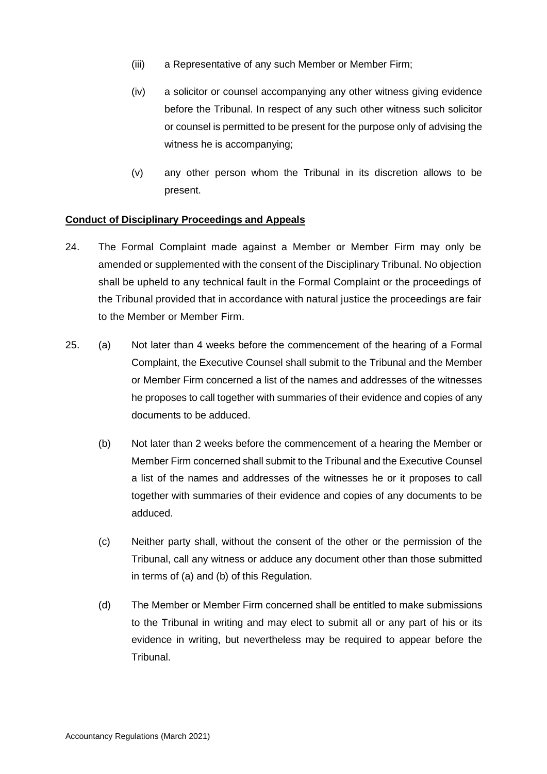- (iii) a Representative of any such Member or Member Firm;
- (iv) a solicitor or counsel accompanying any other witness giving evidence before the Tribunal. In respect of any such other witness such solicitor or counsel is permitted to be present for the purpose only of advising the witness he is accompanying;
- (v) any other person whom the Tribunal in its discretion allows to be present.

#### **Conduct of Disciplinary Proceedings and Appeals**

- 24. The Formal Complaint made against a Member or Member Firm may only be amended or supplemented with the consent of the Disciplinary Tribunal. No objection shall be upheld to any technical fault in the Formal Complaint or the proceedings of the Tribunal provided that in accordance with natural justice the proceedings are fair to the Member or Member Firm.
- 25. (a) Not later than 4 weeks before the commencement of the hearing of a Formal Complaint, the Executive Counsel shall submit to the Tribunal and the Member or Member Firm concerned a list of the names and addresses of the witnesses he proposes to call together with summaries of their evidence and copies of any documents to be adduced.
	- (b) Not later than 2 weeks before the commencement of a hearing the Member or Member Firm concerned shall submit to the Tribunal and the Executive Counsel a list of the names and addresses of the witnesses he or it proposes to call together with summaries of their evidence and copies of any documents to be adduced.
	- (c) Neither party shall, without the consent of the other or the permission of the Tribunal, call any witness or adduce any document other than those submitted in terms of (a) and (b) of this Regulation.
	- (d) The Member or Member Firm concerned shall be entitled to make submissions to the Tribunal in writing and may elect to submit all or any part of his or its evidence in writing, but nevertheless may be required to appear before the Tribunal.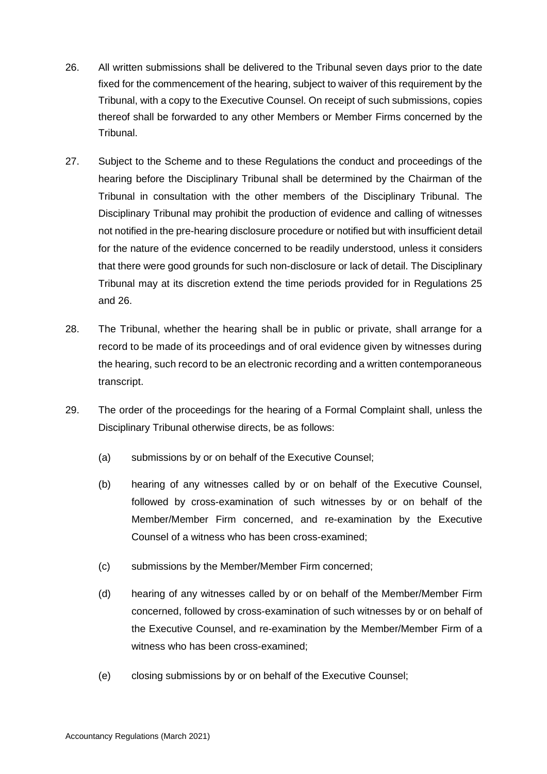- 26. All written submissions shall be delivered to the Tribunal seven days prior to the date fixed for the commencement of the hearing, subject to waiver of this requirement by the Tribunal, with a copy to the Executive Counsel. On receipt of such submissions, copies thereof shall be forwarded to any other Members or Member Firms concerned by the Tribunal.
- 27. Subject to the Scheme and to these Regulations the conduct and proceedings of the hearing before the Disciplinary Tribunal shall be determined by the Chairman of the Tribunal in consultation with the other members of the Disciplinary Tribunal. The Disciplinary Tribunal may prohibit the production of evidence and calling of witnesses not notified in the pre-hearing disclosure procedure or notified but with insufficient detail for the nature of the evidence concerned to be readily understood, unless it considers that there were good grounds for such non-disclosure or lack of detail. The Disciplinary Tribunal may at its discretion extend the time periods provided for in Regulations 25 and 26.
- 28. The Tribunal, whether the hearing shall be in public or private, shall arrange for a record to be made of its proceedings and of oral evidence given by witnesses during the hearing, such record to be an electronic recording and a written contemporaneous transcript.
- 29. The order of the proceedings for the hearing of a Formal Complaint shall, unless the Disciplinary Tribunal otherwise directs, be as follows:
	- (a) submissions by or on behalf of the Executive Counsel;
	- (b) hearing of any witnesses called by or on behalf of the Executive Counsel, followed by cross-examination of such witnesses by or on behalf of the Member/Member Firm concerned, and re-examination by the Executive Counsel of a witness who has been cross-examined;
	- (c) submissions by the Member/Member Firm concerned;
	- (d) hearing of any witnesses called by or on behalf of the Member/Member Firm concerned, followed by cross-examination of such witnesses by or on behalf of the Executive Counsel, and re-examination by the Member/Member Firm of a witness who has been cross-examined;
	- (e) closing submissions by or on behalf of the Executive Counsel;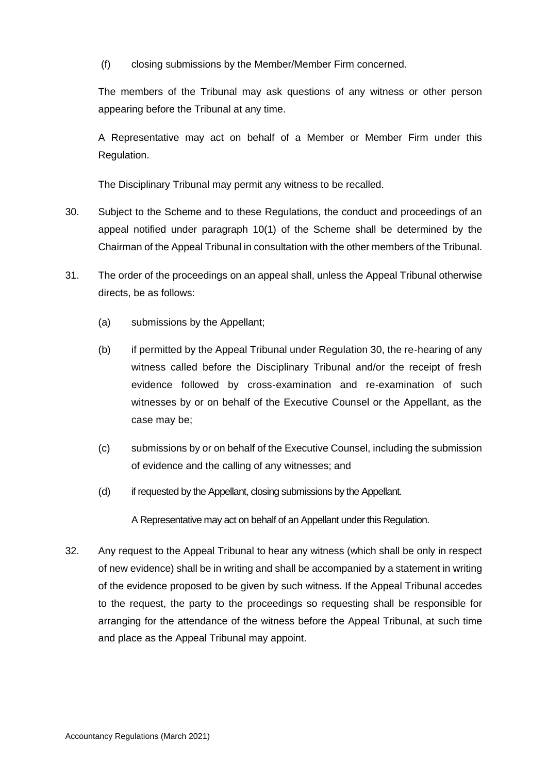(f) closing submissions by the Member/Member Firm concerned.

The members of the Tribunal may ask questions of any witness or other person appearing before the Tribunal at any time.

A Representative may act on behalf of a Member or Member Firm under this Regulation.

The Disciplinary Tribunal may permit any witness to be recalled.

- 30. Subject to the Scheme and to these Regulations, the conduct and proceedings of an appeal notified under paragraph 10(1) of the Scheme shall be determined by the Chairman of the Appeal Tribunal in consultation with the other members of the Tribunal.
- 31. The order of the proceedings on an appeal shall, unless the Appeal Tribunal otherwise directs, be as follows:
	- (a) submissions by the Appellant;
	- (b) if permitted by the Appeal Tribunal under Regulation 30, the re-hearing of any witness called before the Disciplinary Tribunal and/or the receipt of fresh evidence followed by cross-examination and re-examination of such witnesses by or on behalf of the Executive Counsel or the Appellant, as the case may be;
	- (c) submissions by or on behalf of the Executive Counsel, including the submission of evidence and the calling of any witnesses; and
	- (d) if requested by the Appellant, closing submissions by the Appellant.

A Representative may act on behalf of an Appellant under this Regulation.

32. Any request to the Appeal Tribunal to hear any witness (which shall be only in respect of new evidence) shall be in writing and shall be accompanied by a statement in writing of the evidence proposed to be given by such witness. If the Appeal Tribunal accedes to the request, the party to the proceedings so requesting shall be responsible for arranging for the attendance of the witness before the Appeal Tribunal, at such time and place as the Appeal Tribunal may appoint.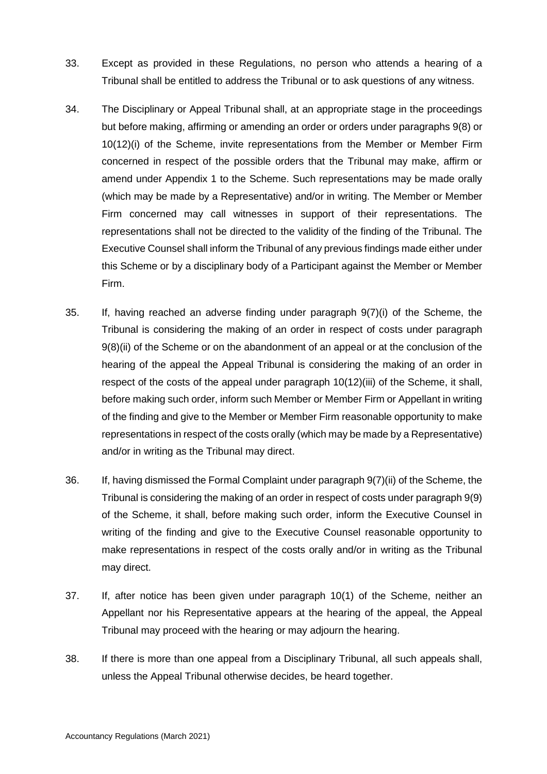- 33. Except as provided in these Regulations, no person who attends a hearing of a Tribunal shall be entitled to address the Tribunal or to ask questions of any witness.
- 34. The Disciplinary or Appeal Tribunal shall, at an appropriate stage in the proceedings but before making, affirming or amending an order or orders under paragraphs 9(8) or 10(12)(i) of the Scheme, invite representations from the Member or Member Firm concerned in respect of the possible orders that the Tribunal may make, affirm or amend under Appendix 1 to the Scheme. Such representations may be made orally (which may be made by a Representative) and/or in writing. The Member or Member Firm concerned may call witnesses in support of their representations. The representations shall not be directed to the validity of the finding of the Tribunal. The Executive Counsel shall inform the Tribunal of any previous findings made either under this Scheme or by a disciplinary body of a Participant against the Member or Member Firm.
- 35. If, having reached an adverse finding under paragraph 9(7)(i) of the Scheme, the Tribunal is considering the making of an order in respect of costs under paragraph 9(8)(ii) of the Scheme or on the abandonment of an appeal or at the conclusion of the hearing of the appeal the Appeal Tribunal is considering the making of an order in respect of the costs of the appeal under paragraph 10(12)(iii) of the Scheme, it shall, before making such order, inform such Member or Member Firm or Appellant in writing of the finding and give to the Member or Member Firm reasonable opportunity to make representations in respect of the costs orally (which may be made by a Representative) and/or in writing as the Tribunal may direct.
- 36. If, having dismissed the Formal Complaint under paragraph 9(7)(ii) of the Scheme, the Tribunal is considering the making of an order in respect of costs under paragraph 9(9) of the Scheme, it shall, before making such order, inform the Executive Counsel in writing of the finding and give to the Executive Counsel reasonable opportunity to make representations in respect of the costs orally and/or in writing as the Tribunal may direct.
- 37. If, after notice has been given under paragraph 10(1) of the Scheme, neither an Appellant nor his Representative appears at the hearing of the appeal, the Appeal Tribunal may proceed with the hearing or may adjourn the hearing.
- 38. If there is more than one appeal from a Disciplinary Tribunal, all such appeals shall, unless the Appeal Tribunal otherwise decides, be heard together.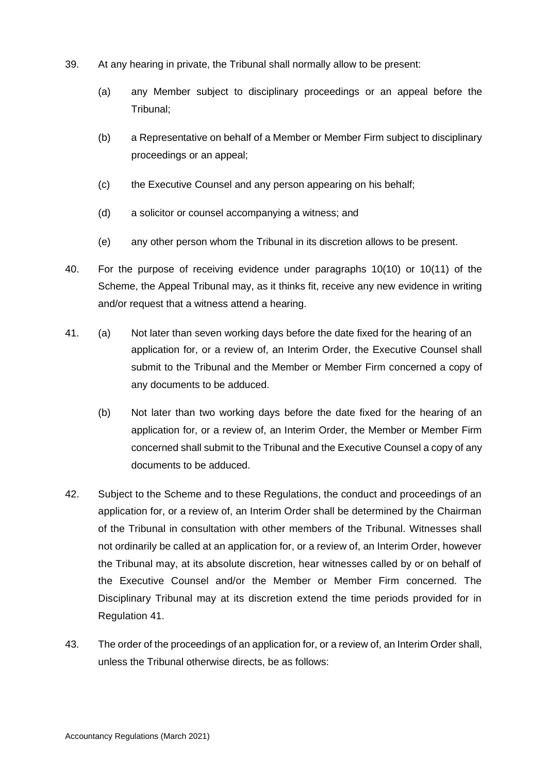- 39. At any hearing in private, the Tribunal shall normally allow to be present:
	- (a) any Member subject to disciplinary proceedings or an appeal before the Tribunal;
	- (b) a Representative on behalf of a Member or Member Firm subject to disciplinary proceedings or an appeal;
	- (c) the Executive Counsel and any person appearing on his behalf;
	- (d) a solicitor or counsel accompanying a witness; and
	- (e) any other person whom the Tribunal in its discretion allows to be present.
- 40. For the purpose of receiving evidence under paragraphs 10(10) or 10(11) of the Scheme, the Appeal Tribunal may, as it thinks fit, receive any new evidence in writing and/or request that a witness attend a hearing.
- 41. (a) Not later than seven working days before the date fixed for the hearing of an application for, or a review of, an Interim Order, the Executive Counsel shall submit to the Tribunal and the Member or Member Firm concerned a copy of any documents to be adduced.
	- (b) Not later than two working days before the date fixed for the hearing of an application for, or a review of, an Interim Order, the Member or Member Firm concerned shall submit to the Tribunal and the Executive Counsel a copy of any documents to be adduced.
- 42. Subject to the Scheme and to these Regulations, the conduct and proceedings of an application for, or a review of, an Interim Order shall be determined by the Chairman of the Tribunal in consultation with other members of the Tribunal. Witnesses shall not ordinarily be called at an application for, or a review of, an Interim Order, however the Tribunal may, at its absolute discretion, hear witnesses called by or on behalf of the Executive Counsel and/or the Member or Member Firm concerned. The Disciplinary Tribunal may at its discretion extend the time periods provided for in Regulation 41.
- 43. The order of the proceedings of an application for, or a review of, an Interim Order shall, unless the Tribunal otherwise directs, be as follows: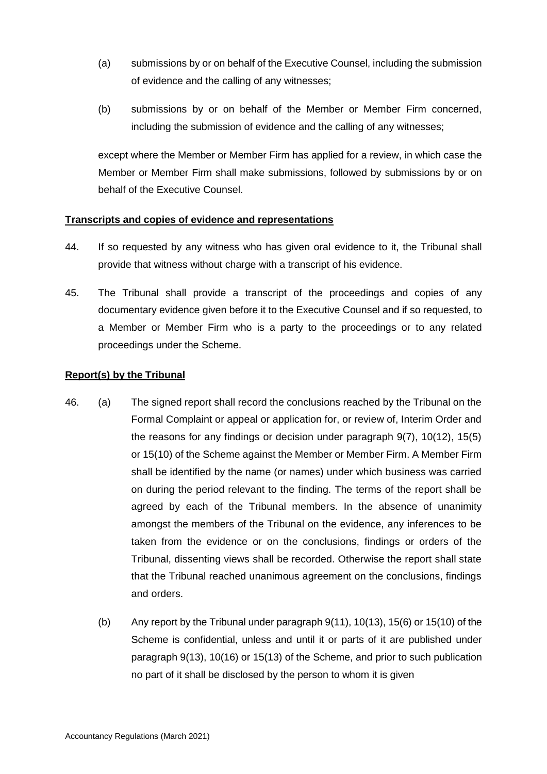- (a) submissions by or on behalf of the Executive Counsel, including the submission of evidence and the calling of any witnesses;
- (b) submissions by or on behalf of the Member or Member Firm concerned, including the submission of evidence and the calling of any witnesses;

except where the Member or Member Firm has applied for a review, in which case the Member or Member Firm shall make submissions, followed by submissions by or on behalf of the Executive Counsel.

### **Transcripts and copies of evidence and representations**

- 44. If so requested by any witness who has given oral evidence to it, the Tribunal shall provide that witness without charge with a transcript of his evidence.
- 45. The Tribunal shall provide a transcript of the proceedings and copies of any documentary evidence given before it to the Executive Counsel and if so requested, to a Member or Member Firm who is a party to the proceedings or to any related proceedings under the Scheme.

### **Report(s) by the Tribunal**

- 46. (a) The signed report shall record the conclusions reached by the Tribunal on the Formal Complaint or appeal or application for, or review of, Interim Order and the reasons for any findings or decision under paragraph 9(7), 10(12), 15(5) or 15(10) of the Scheme against the Member or Member Firm. A Member Firm shall be identified by the name (or names) under which business was carried on during the period relevant to the finding. The terms of the report shall be agreed by each of the Tribunal members. In the absence of unanimity amongst the members of the Tribunal on the evidence, any inferences to be taken from the evidence or on the conclusions, findings or orders of the Tribunal, dissenting views shall be recorded. Otherwise the report shall state that the Tribunal reached unanimous agreement on the conclusions, findings and orders.
	- (b) Any report by the Tribunal under paragraph 9(11), 10(13), 15(6) or 15(10) of the Scheme is confidential, unless and until it or parts of it are published under paragraph 9(13), 10(16) or 15(13) of the Scheme, and prior to such publication no part of it shall be disclosed by the person to whom it is given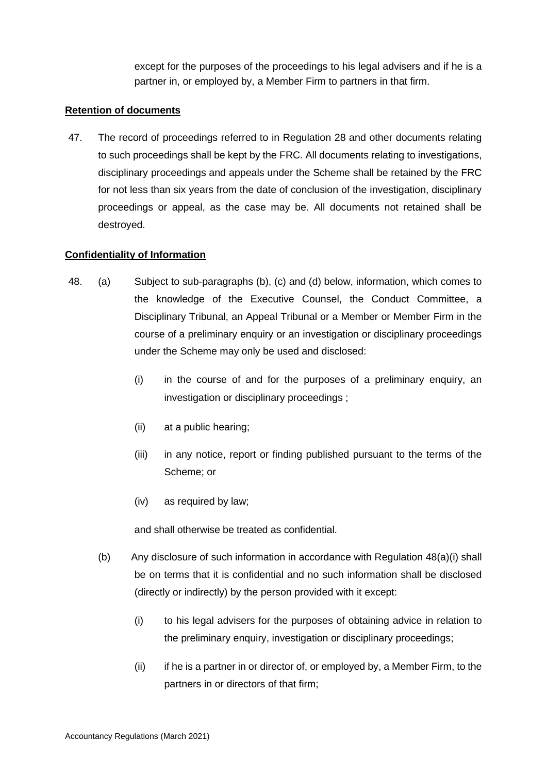except for the purposes of the proceedings to his legal advisers and if he is a partner in, or employed by, a Member Firm to partners in that firm.

#### **Retention of documents**

47. The record of proceedings referred to in Regulation 28 and other documents relating to such proceedings shall be kept by the FRC. All documents relating to investigations, disciplinary proceedings and appeals under the Scheme shall be retained by the FRC for not less than six years from the date of conclusion of the investigation, disciplinary proceedings or appeal, as the case may be. All documents not retained shall be destroyed.

### **Confidentiality of Information**

- 48. (a) Subject to sub-paragraphs (b), (c) and (d) below, information, which comes to the knowledge of the Executive Counsel, the Conduct Committee, a Disciplinary Tribunal, an Appeal Tribunal or a Member or Member Firm in the course of a preliminary enquiry or an investigation or disciplinary proceedings under the Scheme may only be used and disclosed:
	- (i) in the course of and for the purposes of a preliminary enquiry, an investigation or disciplinary proceedings ;
	- (ii) at a public hearing;
	- (iii) in any notice, report or finding published pursuant to the terms of the Scheme; or
	- (iv) as required by law;

and shall otherwise be treated as confidential.

- (b) Any disclosure of such information in accordance with Regulation  $48(a)(i)$  shall be on terms that it is confidential and no such information shall be disclosed (directly or indirectly) by the person provided with it except:
	- (i) to his legal advisers for the purposes of obtaining advice in relation to the preliminary enquiry, investigation or disciplinary proceedings;
	- (ii) if he is a partner in or director of, or employed by, a Member Firm, to the partners in or directors of that firm;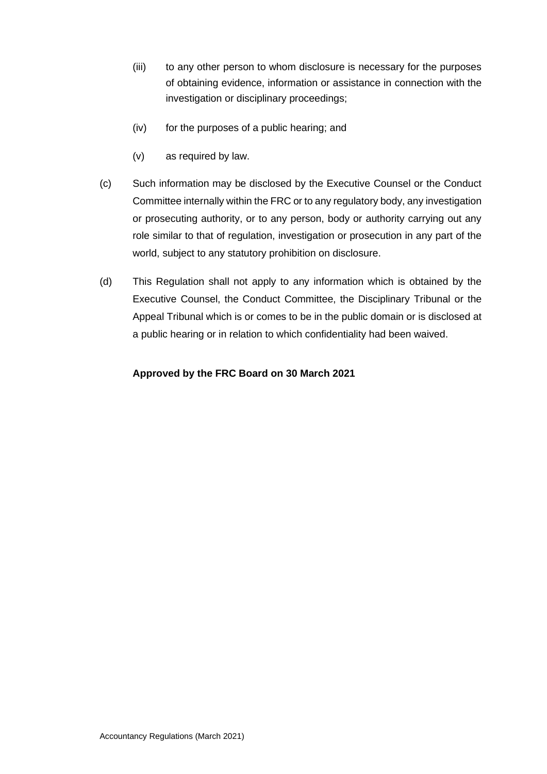- (iii) to any other person to whom disclosure is necessary for the purposes of obtaining evidence, information or assistance in connection with the investigation or disciplinary proceedings;
- (iv) for the purposes of a public hearing; and
- (v) as required by law.
- (c) Such information may be disclosed by the Executive Counsel or the Conduct Committee internally within the FRC or to any regulatory body, any investigation or prosecuting authority, or to any person, body or authority carrying out any role similar to that of regulation, investigation or prosecution in any part of the world, subject to any statutory prohibition on disclosure.
- (d) This Regulation shall not apply to any information which is obtained by the Executive Counsel, the Conduct Committee, the Disciplinary Tribunal or the Appeal Tribunal which is or comes to be in the public domain or is disclosed at a public hearing or in relation to which confidentiality had been waived.

### **Approved by the FRC Board on 30 March 2021**